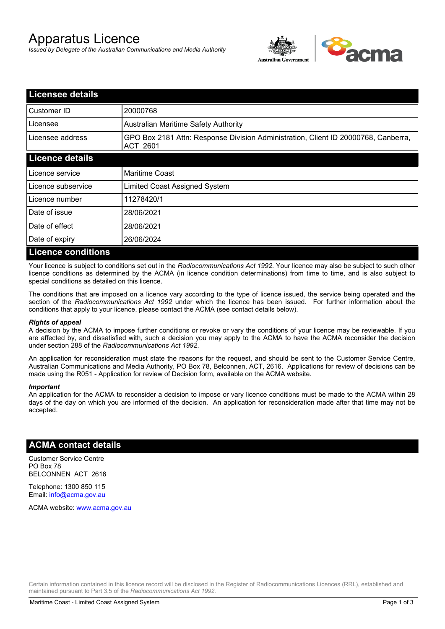# Apparatus Licence

*Issued by Delegate of the Australian Communications and Media Authority*



| <b>Licensee details</b>   |                                                                                                |  |  |
|---------------------------|------------------------------------------------------------------------------------------------|--|--|
| Customer ID               | 20000768                                                                                       |  |  |
| Licensee                  | <b>Australian Maritime Safety Authority</b>                                                    |  |  |
| Licensee address          | GPO Box 2181 Attn: Response Division Administration, Client ID 20000768, Canberra,<br>ACT 2601 |  |  |
| <b>Licence details</b>    |                                                                                                |  |  |
| Licence service           | <b>Maritime Coast</b>                                                                          |  |  |
| Licence subservice        | Limited Coast Assigned System                                                                  |  |  |
| Licence number            | 11278420/1                                                                                     |  |  |
| Date of issue             | 28/06/2021                                                                                     |  |  |
| Date of effect            | 28/06/2021                                                                                     |  |  |
| Date of expiry            | 26/06/2024                                                                                     |  |  |
| <b>Licence conditions</b> |                                                                                                |  |  |

Your licence is subject to conditions set out in the *Radiocommunications Act 1992*. Your licence may also be subject to such other licence conditions as determined by the ACMA (in licence condition determinations) from time to time, and is also subject to special conditions as detailed on this licence.

The conditions that are imposed on a licence vary according to the type of licence issued, the service being operated and the section of the *Radiocommunications Act 1992* under which the licence has been issued. For further information about the conditions that apply to your licence, please contact the ACMA (see contact details below).

#### *Rights of appeal*

A decision by the ACMA to impose further conditions or revoke or vary the conditions of your licence may be reviewable. If you are affected by, and dissatisfied with, such a decision you may apply to the ACMA to have the ACMA reconsider the decision under section 288 of the *Radiocommunications Act 1992*.

An application for reconsideration must state the reasons for the request, and should be sent to the Customer Service Centre, Australian Communications and Media Authority, PO Box 78, Belconnen, ACT, 2616. Applications for review of decisions can be made using the R051 - Application for review of Decision form, available on the ACMA website.

#### *Important*

An application for the ACMA to reconsider a decision to impose or vary licence conditions must be made to the ACMA within 28 days of the day on which you are informed of the decision. An application for reconsideration made after that time may not be accepted.

### **ACMA contact details**

Customer Service Centre PO Box 78 BELCONNEN ACT 2616

Telephone: 1300 850 115 Email: info@acma.gov.au

ACMA website: www.acma.gov.au

Certain information contained in this licence record will be disclosed in the Register of Radiocommunications Licences (RRL), established and maintained pursuant to Part 3.5 of the *Radiocommunications Act 1992.*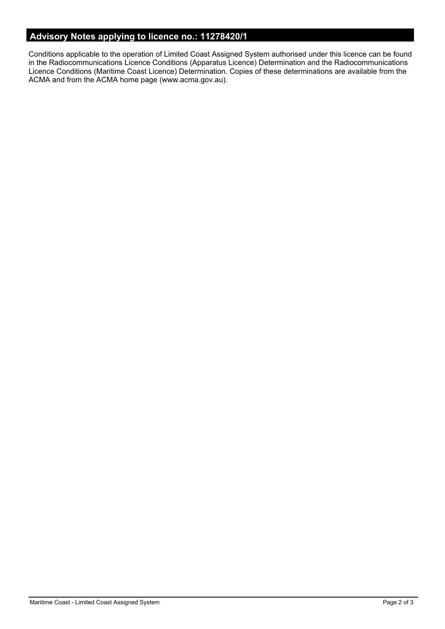## **Advisory Notes applying to licence no.: 11278420/1**

Conditions applicable to the operation of Limited Coast Assigned System authorised under this licence can be found in the Radiocommunications Licence Conditions (Apparatus Licence) Determination and the Radiocommunications Licence Conditions (Maritime Coast Licence) Determination. Copies of these determinations are available from the ACMA and from the ACMA home page (www.acma.gov.au).